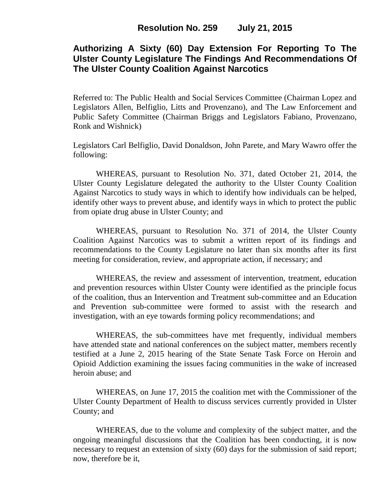# **Authorizing A Sixty (60) Day Extension For Reporting To The Ulster County Legislature The Findings And Recommendations Of The Ulster County Coalition Against Narcotics**

Referred to: The Public Health and Social Services Committee (Chairman Lopez and Legislators Allen, Belfiglio, Litts and Provenzano), and The Law Enforcement and Public Safety Committee (Chairman Briggs and Legislators Fabiano, Provenzano, Ronk and Wishnick)

Legislators Carl Belfiglio, David Donaldson, John Parete, and Mary Wawro offer the following:

WHEREAS, pursuant to Resolution No. 371, dated October 21, 2014, the Ulster County Legislature delegated the authority to the Ulster County Coalition Against Narcotics to study ways in which to identify how individuals can be helped, identify other ways to prevent abuse, and identify ways in which to protect the public from opiate drug abuse in Ulster County; and

WHEREAS, pursuant to Resolution No. 371 of 2014, the Ulster County Coalition Against Narcotics was to submit a written report of its findings and recommendations to the County Legislature no later than six months after its first meeting for consideration, review, and appropriate action, if necessary; and

WHEREAS, the review and assessment of intervention, treatment, education and prevention resources within Ulster County were identified as the principle focus of the coalition, thus an Intervention and Treatment sub-committee and an Education and Prevention sub-committee were formed to assist with the research and investigation, with an eye towards forming policy recommendations; and

WHEREAS, the sub-committees have met frequently, individual members have attended state and national conferences on the subject matter, members recently testified at a June 2, 2015 hearing of the State Senate Task Force on Heroin and Opioid Addiction examining the issues facing communities in the wake of increased heroin abuse; and

WHEREAS, on June 17, 2015 the coalition met with the Commissioner of the Ulster County Department of Health to discuss services currently provided in Ulster County; and

WHEREAS, due to the volume and complexity of the subject matter, and the ongoing meaningful discussions that the Coalition has been conducting, it is now necessary to request an extension of sixty (60) days for the submission of said report; now, therefore be it,